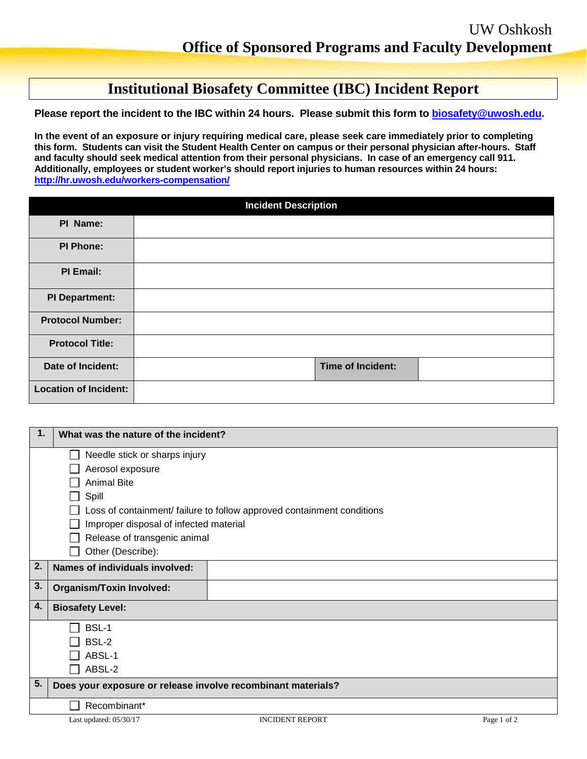## **Institutional Biosafety Committee (IBC) Incident Report**

**Please report the incident to the IBC within 24 hours. Please submit this form to [biosafety@uwosh.edu.](mailto:biosafety@uwosh.edu)** 

**In the event of an exposure or injury requiring medical care, please seek care immediately prior to completing this form. Students can visit the Student Health Center on campus or their personal physician after-hours. Staff and faculty should seek medical attention from their personal physicians. In case of an emergency call 911. Additionally, employees or student worker's should report injuries to human resources within 24 hours: <http://hr.uwosh.edu/workers-compensation/>**

|                              | <b>Incident Description</b> |
|------------------------------|-----------------------------|
| PI Name:                     |                             |
| <b>PI Phone:</b>             |                             |
| PI Email:                    |                             |
| <b>PI Department:</b>        |                             |
| <b>Protocol Number:</b>      |                             |
| <b>Protocol Title:</b>       |                             |
| Date of Incident:            | <b>Time of Incident:</b>    |
| <b>Location of Incident:</b> |                             |

| $\mathbf 1$ | What was the nature of the incident?                         |                                                                        |             |
|-------------|--------------------------------------------------------------|------------------------------------------------------------------------|-------------|
|             | Needle stick or sharps injury                                |                                                                        |             |
|             | Aerosol exposure                                             |                                                                        |             |
|             | <b>Animal Bite</b>                                           |                                                                        |             |
|             | Spill                                                        |                                                                        |             |
|             |                                                              | Loss of containment/ failure to follow approved containment conditions |             |
|             | Improper disposal of infected material                       |                                                                        |             |
|             | Release of transgenic animal                                 |                                                                        |             |
|             | Other (Describe):                                            |                                                                        |             |
| 2.          | Names of individuals involved:                               |                                                                        |             |
| 3.          | <b>Organism/Toxin Involved:</b>                              |                                                                        |             |
| 4.          | <b>Biosafety Level:</b>                                      |                                                                        |             |
|             | BSL-1                                                        |                                                                        |             |
|             | BSL-2                                                        |                                                                        |             |
|             | ABSL-1                                                       |                                                                        |             |
|             | ABSL-2                                                       |                                                                        |             |
| 5.          | Does your exposure or release involve recombinant materials? |                                                                        |             |
|             | Recombinant*                                                 |                                                                        |             |
|             | Last updated: $05/30/17$                                     | <b>INCIDENT REPORT</b>                                                 | Page 1 of 2 |